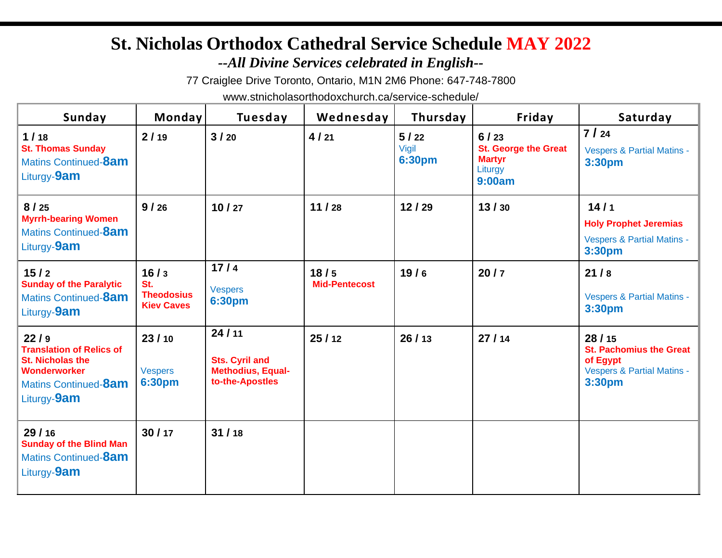## **St. Nicholas Orthodox Cathedral Service Schedule MAY 2022**

*--All Divine Services celebrated in English--*

77 Craiglee Drive Toronto, Ontario, M1N 2M6 Phone: 647-748-7800

www.stnicholasorthodoxchurch.ca/service-schedule/

| Sunday                                                                                                                    | <b>Monday</b>                                         | Tuesday                                                                       | Wednesday                    | Thursday                | Friday                                                             | Saturday                                                                                               |
|---------------------------------------------------------------------------------------------------------------------------|-------------------------------------------------------|-------------------------------------------------------------------------------|------------------------------|-------------------------|--------------------------------------------------------------------|--------------------------------------------------------------------------------------------------------|
| 1/18<br><b>St. Thomas Sunday</b><br>Matins Continued-8am<br>Liturgy-9am                                                   | 2/19                                                  | $3/20$                                                                        | 4/21                         | 5/22<br>Vigil<br>6:30pm | 6/23<br>St. George the Great<br><b>Martyr</b><br>Liturgy<br>9:00am | 7/24<br><b>Vespers &amp; Partial Matins -</b><br>3:30pm                                                |
| 8/25<br><b>Myrrh-bearing Women</b><br>Matins Continued-8am<br>Liturgy-9am                                                 | 9/26                                                  | 10/27                                                                         | 11/28                        | 12/29                   | 13/30                                                              | 14/1<br><b>Holy Prophet Jeremias</b><br><b>Vespers &amp; Partial Matins -</b><br>3:30pm                |
| 15/2<br><b>Sunday of the Paralytic</b><br><b>Matins Continued-8am</b><br>Liturgy-9am                                      | 16/3<br>St.<br><b>Theodosius</b><br><b>Kiev Caves</b> | 17/4<br><b>Vespers</b><br>6:30pm                                              | 18/5<br><b>Mid-Pentecost</b> | 19/6                    | 20/7                                                               | 21/8<br><b>Vespers &amp; Partial Matins -</b><br>3:30pm                                                |
| 22/9<br><b>Translation of Relics of</b><br><b>St. Nicholas the</b><br>Wonderworker<br>Matins Continued-8am<br>Liturgy-9am | 23/10<br><b>Vespers</b><br>6:30pm                     | 24/11<br><b>Sts. Cyril and</b><br><b>Methodius, Equal-</b><br>to-the-Apostles | 25/12                        | 26/13                   | 27/14                                                              | 28/15<br><b>St. Pachomius the Great</b><br>of Egypt<br><b>Vespers &amp; Partial Matins -</b><br>3:30pm |
| 29 / 16<br><b>Sunday of the Blind Man</b><br>Matins Continued-8am<br>Liturgy-9am                                          | 30/17                                                 | 31/18                                                                         |                              |                         |                                                                    |                                                                                                        |